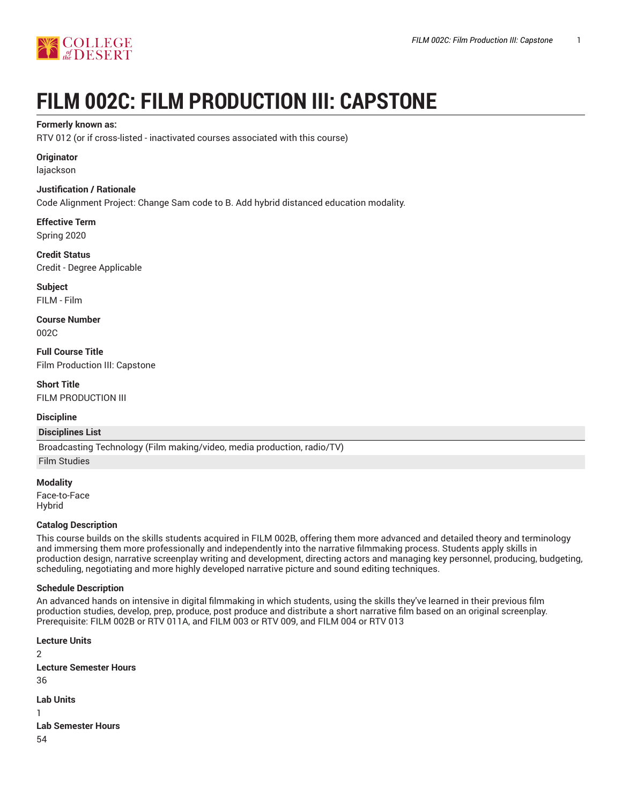

# **FILM 002C: FILM PRODUCTION III: CAPSTONE**

## **Formerly known as:**

RTV 012 (or if cross-listed - inactivated courses associated with this course)

## **Originator**

lajackson

## **Justification / Rationale**

Code Alignment Project: Change Sam code to B. Add hybrid distanced education modality.

**Effective Term** Spring 2020

**Credit Status** Credit - Degree Applicable

**Subject** FILM - Film

**Course Number** 002C

**Full Course Title** Film Production III: Capstone

**Short Title** FILM PRODUCTION III

## **Discipline**

#### **Disciplines List**

Broadcasting Technology (Film making/video, media production, radio/TV)

Film Studies

**Modality** Face-to-Face Hybrid

## **Catalog Description**

This course builds on the skills students acquired in FILM 002B, offering them more advanced and detailed theory and terminology and immersing them more professionally and independently into the narrative filmmaking process. Students apply skills in production design, narrative screenplay writing and development, directing actors and managing key personnel, producing, budgeting, scheduling, negotiating and more highly developed narrative picture and sound editing techniques.

#### **Schedule Description**

An advanced hands on intensive in digital filmmaking in which students, using the skills they've learned in their previous film production studies, develop, prep, produce, post produce and distribute a short narrative film based on an original screenplay. Prerequisite: FILM 002B or RTV 011A, and FILM 003 or RTV 009, and FILM 004 or RTV 013

**Lecture Units** 2 **Lecture Semester Hours** 36 **Lab Units** 1 **Lab Semester Hours**

54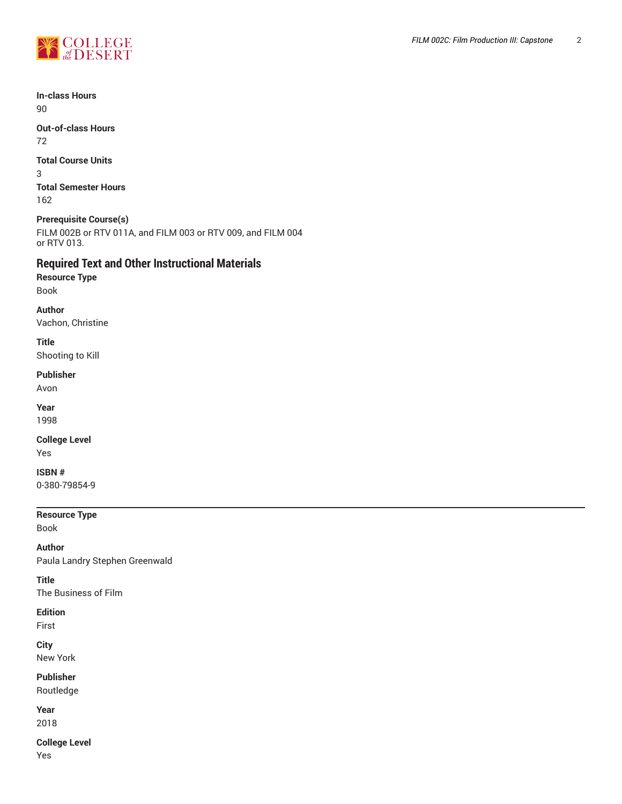

**In-class Hours** 90

**Out-of-class Hours** 72

**Total Course Units**

3 **Total Semester Hours** 162

## **Prerequisite Course(s)**

FILM 002B or RTV 011A, and FILM 003 or RTV 009, and FILM 004 or RTV 013.

# **Required Text and Other Instructional Materials**

**Resource Type** Book

**Author** Vachon, Christine

**Title**

Shooting to Kill

## **Publisher**

Avon

**Year** 1998

**College Level**

Yes

**ISBN #**

0-380-79854-9

## **Resource Type**

Book

**Author** Paula Landry Stephen Greenwald

**Title** The Business of Film

## **Edition**

First

**City**

New York

**Publisher** Routledge

**Year** 2018

**College Level** Yes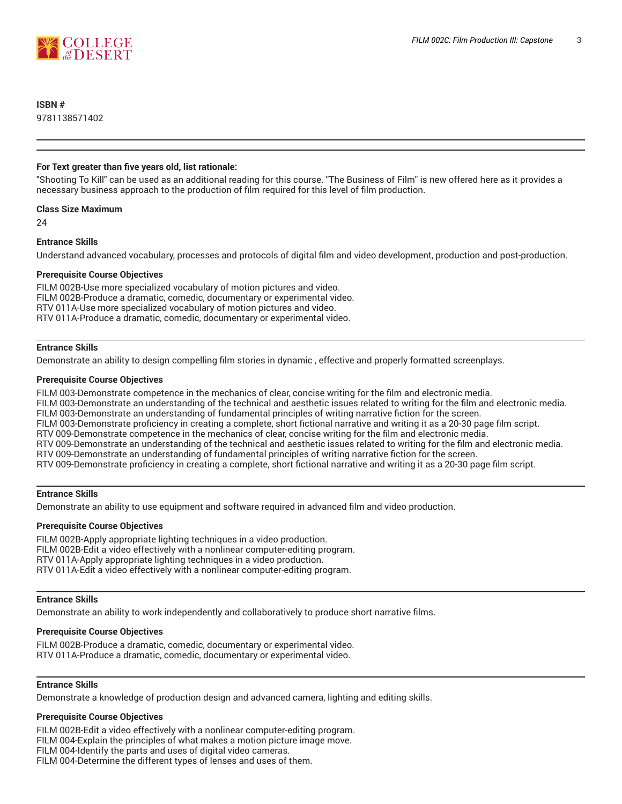

## **ISBN #**

9781138571402

#### **For Text greater than five years old, list rationale:**

"Shooting To Kill" can be used as an additional reading for this course. "The Business of Film" is new offered here as it provides a necessary business approach to the production of film required for this level of film production.

#### **Class Size Maximum**

24

#### **Entrance Skills**

Understand advanced vocabulary, processes and protocols of digital film and video development, production and post-production.

#### **Prerequisite Course Objectives**

FILM 002B-Use more specialized vocabulary of motion pictures and video. FILM 002B-Produce a dramatic, comedic, documentary or experimental video. RTV 011A-Use more specialized vocabulary of motion pictures and video. RTV 011A-Produce a dramatic, comedic, documentary or experimental video.

#### **Entrance Skills**

Demonstrate an ability to design compelling film stories in dynamic , effective and properly formatted screenplays.

#### **Prerequisite Course Objectives**

FILM 003-Demonstrate competence in the mechanics of clear, concise writing for the film and electronic media.

FILM 003-Demonstrate an understanding of the technical and aesthetic issues related to writing for the film and electronic media. FILM 003-Demonstrate an understanding of fundamental principles of writing narrative fiction for the screen.

FILM 003-Demonstrate proficiency in creating a complete, short fictional narrative and writing it as a 20-30 page film script.

RTV 009-Demonstrate competence in the mechanics of clear, concise writing for the film and electronic media.

RTV 009-Demonstrate an understanding of the technical and aesthetic issues related to writing for the film and electronic media.

RTV 009-Demonstrate an understanding of fundamental principles of writing narrative fiction for the screen.

RTV 009-Demonstrate proficiency in creating a complete, short fictional narrative and writing it as a 20-30 page film script.

#### **Entrance Skills**

Demonstrate an ability to use equipment and software required in advanced film and video production.

#### **Prerequisite Course Objectives**

FILM 002B-Apply appropriate lighting techniques in a video production. FILM 002B-Edit a video effectively with a nonlinear computer-editing program. RTV 011A-Apply appropriate lighting techniques in a video production. RTV 011A-Edit a video effectively with a nonlinear computer-editing program.

#### **Entrance Skills**

Demonstrate an ability to work independently and collaboratively to produce short narrative films.

#### **Prerequisite Course Objectives**

FILM 002B-Produce a dramatic, comedic, documentary or experimental video. RTV 011A-Produce a dramatic, comedic, documentary or experimental video.

#### **Entrance Skills**

Demonstrate a knowledge of production design and advanced camera, lighting and editing skills.

#### **Prerequisite Course Objectives**

FILM 002B-Edit a video effectively with a nonlinear computer-editing program.

FILM 004-Explain the principles of what makes a motion picture image move.

FILM 004-Identify the parts and uses of digital video cameras.

FILM 004-Determine the different types of lenses and uses of them.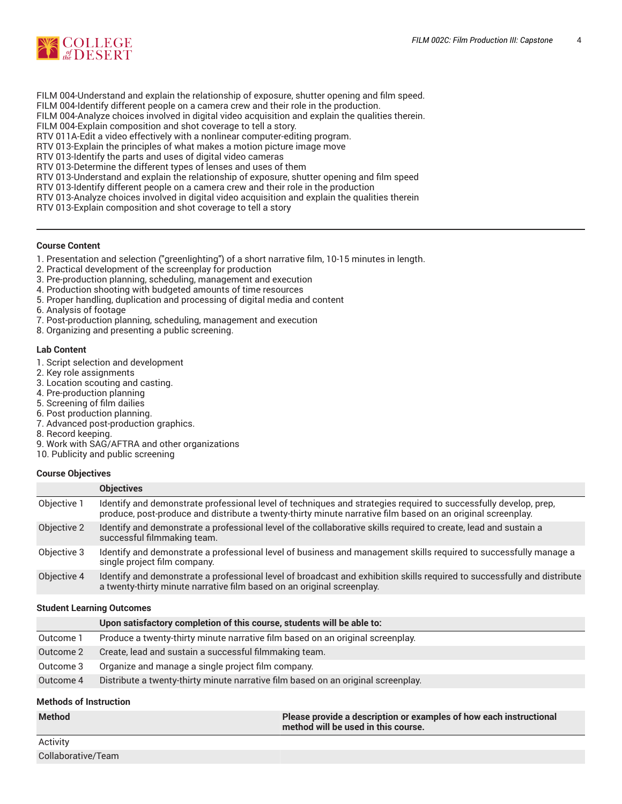

- FILM 004-Understand and explain the relationship of exposure, shutter opening and film speed.
- FILM 004-Identify different people on a camera crew and their role in the production.
- FILM 004-Analyze choices involved in digital video acquisition and explain the qualities therein.
- FILM 004-Explain composition and shot coverage to tell a story.
- RTV 011A-Edit a video effectively with a nonlinear computer-editing program.
- RTV 013-Explain the principles of what makes a motion picture image move
- RTV 013-Identify the parts and uses of digital video cameras
- RTV 013-Determine the different types of lenses and uses of them

RTV 013-Understand and explain the relationship of exposure, shutter opening and film speed

RTV 013-Identify different people on a camera crew and their role in the production

RTV 013-Analyze choices involved in digital video acquisition and explain the qualities therein

RTV 013-Explain composition and shot coverage to tell a story

#### **Course Content**

- 1. Presentation and selection ("greenlighting") of a short narrative film, 10-15 minutes in length.
- 2. Practical development of the screenplay for production
- 3. Pre-production planning, scheduling, management and execution
- 4. Production shooting with budgeted amounts of time resources
- 5. Proper handling, duplication and processing of digital media and content
- 6. Analysis of footage
- 7. Post-production planning, scheduling, management and execution
- 8. Organizing and presenting a public screening.

#### **Lab Content**

- 1. Script selection and development
- 2. Key role assignments
- 3. Location scouting and casting.
- 4. Pre-production planning
- 5. Screening of film dailies
- 6. Post production planning.
- 7. Advanced post-production graphics.
- 8. Record keeping.
- 9. Work with SAG/AFTRA and other organizations
- 10. Publicity and public screening

#### **Course Objectives**

|             | <b>Objectives</b>                                                                                                                                                                                                               |
|-------------|---------------------------------------------------------------------------------------------------------------------------------------------------------------------------------------------------------------------------------|
| Objective 1 | Identify and demonstrate professional level of techniques and strategies required to successfully develop, prep,<br>produce, post-produce and distribute a twenty-thirty minute narrative film based on an original screenplay. |
| Objective 2 | Identify and demonstrate a professional level of the collaborative skills required to create, lead and sustain a<br>successful filmmaking team.                                                                                 |
| Objective 3 | Identify and demonstrate a professional level of business and management skills required to successfully manage a<br>single project film company.                                                                               |
| Objective 4 | Identify and demonstrate a professional level of broadcast and exhibition skills required to successfully and distribute<br>a twenty-thirty minute narrative film based on an original screenplay.                              |

#### **Student Learning Outcomes**

|           | Upon satisfactory completion of this course, students will be able to:            |
|-----------|-----------------------------------------------------------------------------------|
| Outcome 1 | Produce a twenty-thirty minute narrative film based on an original screenplay.    |
| Outcome 2 | Create, lead and sustain a successful filmmaking team.                            |
| Outcome 3 | Organize and manage a single project film company.                                |
| Outcome 4 | Distribute a twenty-thirty minute narrative film based on an original screenplay. |
|           |                                                                                   |

#### **Methods of Instruction**

| <b>Method</b> | Please provide a description or examples of how each instructional<br>$\blacksquare$ method will be used in this course. $\blacksquare$ |
|---------------|-----------------------------------------------------------------------------------------------------------------------------------------|
|               |                                                                                                                                         |

Activity Collaborative/Team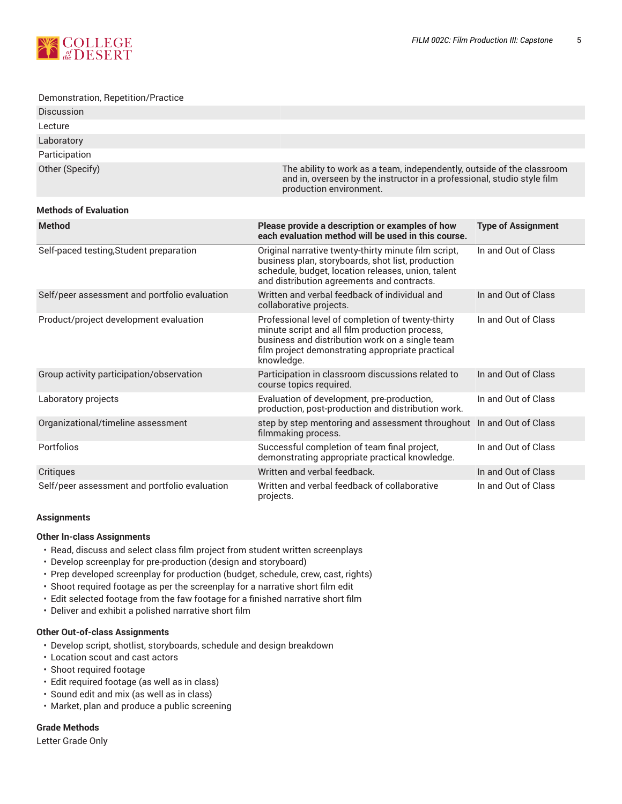

#### Demonstration, Repetition/Practice

| <b>Discussion</b> |                                                                                                                                                                              |
|-------------------|------------------------------------------------------------------------------------------------------------------------------------------------------------------------------|
| Lecture           |                                                                                                                                                                              |
| Laboratory        |                                                                                                                                                                              |
| Participation     |                                                                                                                                                                              |
| Other (Specify)   | The ability to work as a team, independently, outside of the classroom<br>and in, overseen by the instructor in a professional, studio style film<br>production environment. |

#### **Methods of Evaluation**

| <b>Method</b>                                 | Please provide a description or examples of how<br>each evaluation method will be used in this course.                                                                                                                   | <b>Type of Assignment</b> |
|-----------------------------------------------|--------------------------------------------------------------------------------------------------------------------------------------------------------------------------------------------------------------------------|---------------------------|
| Self-paced testing, Student preparation       | Original narrative twenty-thirty minute film script,<br>business plan, storyboards, shot list, production<br>schedule, budget, location releases, union, talent<br>and distribution agreements and contracts.            | In and Out of Class       |
| Self/peer assessment and portfolio evaluation | Written and verbal feedback of individual and<br>collaborative projects.                                                                                                                                                 | In and Out of Class       |
| Product/project development evaluation        | Professional level of completion of twenty-thirty<br>minute script and all film production process,<br>business and distribution work on a single team<br>film project demonstrating appropriate practical<br>knowledge. | In and Out of Class       |
| Group activity participation/observation      | Participation in classroom discussions related to<br>course topics required.                                                                                                                                             | In and Out of Class       |
| Laboratory projects                           | Evaluation of development, pre-production,<br>production, post-production and distribution work.                                                                                                                         | In and Out of Class       |
| Organizational/timeline assessment            | step by step mentoring and assessment throughout In and Out of Class<br>filmmaking process.                                                                                                                              |                           |
| <b>Portfolios</b>                             | Successful completion of team final project,<br>demonstrating appropriate practical knowledge.                                                                                                                           | In and Out of Class       |
| Critiques                                     | Written and verbal feedback.                                                                                                                                                                                             | In and Out of Class       |
| Self/peer assessment and portfolio evaluation | Written and verbal feedback of collaborative<br>projects.                                                                                                                                                                | In and Out of Class       |

#### **Assignments**

#### **Other In-class Assignments**

- Read, discuss and select class film project from student written screenplays
- Develop screenplay for pre-production (design and storyboard)
- Prep developed screenplay for production (budget, schedule, crew, cast, rights)
- Shoot required footage as per the screenplay for a narrative short film edit
- Edit selected footage from the faw footage for a finished narrative short film
- Deliver and exhibit a polished narrative short film

#### **Other Out-of-class Assignments**

- Develop script, shotlist, storyboards, schedule and design breakdown
- Location scout and cast actors
- Shoot required footage
- Edit required footage (as well as in class)
- Sound edit and mix (as well as in class)
- Market, plan and produce a public screening

#### **Grade Methods**

Letter Grade Only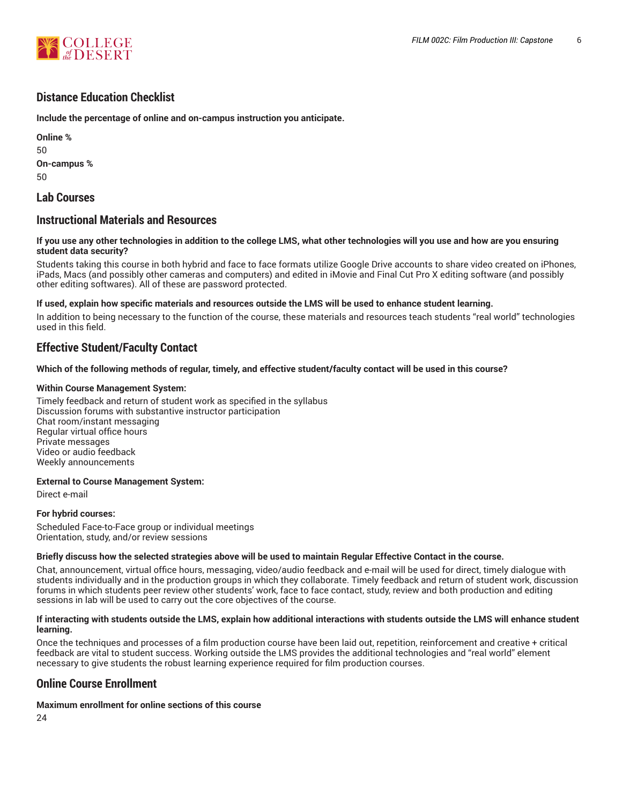

## **Distance Education Checklist**

**Include the percentage of online and on-campus instruction you anticipate.**

**Online %** 50 **On-campus %** 50

## **Lab Courses**

## **Instructional Materials and Resources**

#### If you use any other technologies in addition to the college LMS, what other technologies will you use and how are you ensuring **student data security?**

Students taking this course in both hybrid and face to face formats utilize Google Drive accounts to share video created on iPhones, iPads, Macs (and possibly other cameras and computers) and edited in iMovie and Final Cut Pro X editing software (and possibly other editing softwares). All of these are password protected.

#### **If used, explain how specific materials and resources outside the LMS will be used to enhance student learning.**

In addition to being necessary to the function of the course, these materials and resources teach students "real world" technologies used in this field.

## **Effective Student/Faculty Contact**

#### Which of the following methods of regular, timely, and effective student/faculty contact will be used in this course?

#### **Within Course Management System:**

Timely feedback and return of student work as specified in the syllabus Discussion forums with substantive instructor participation Chat room/instant messaging Regular virtual office hours Private messages Video or audio feedback Weekly announcements

#### **External to Course Management System:**

Direct e-mail

#### **For hybrid courses:**

Scheduled Face-to-Face group or individual meetings Orientation, study, and/or review sessions

#### Briefly discuss how the selected strategies above will be used to maintain Regular Effective Contact in the course.

Chat, announcement, virtual office hours, messaging, video/audio feedback and e-mail will be used for direct, timely dialogue with students individually and in the production groups in which they collaborate. Timely feedback and return of student work, discussion forums in which students peer review other students' work, face to face contact, study, review and both production and editing sessions in lab will be used to carry out the core objectives of the course.

#### **If interacting with students outside the LMS, explain how additional interactions with students outside the LMS will enhance student learning.**

Once the techniques and processes of a film production course have been laid out, repetition, reinforcement and creative + critical feedback are vital to student success. Working outside the LMS provides the additional technologies and "real world" element necessary to give students the robust learning experience required for film production courses.

## **Online Course Enrollment**

#### **Maximum enrollment for online sections of this course**

24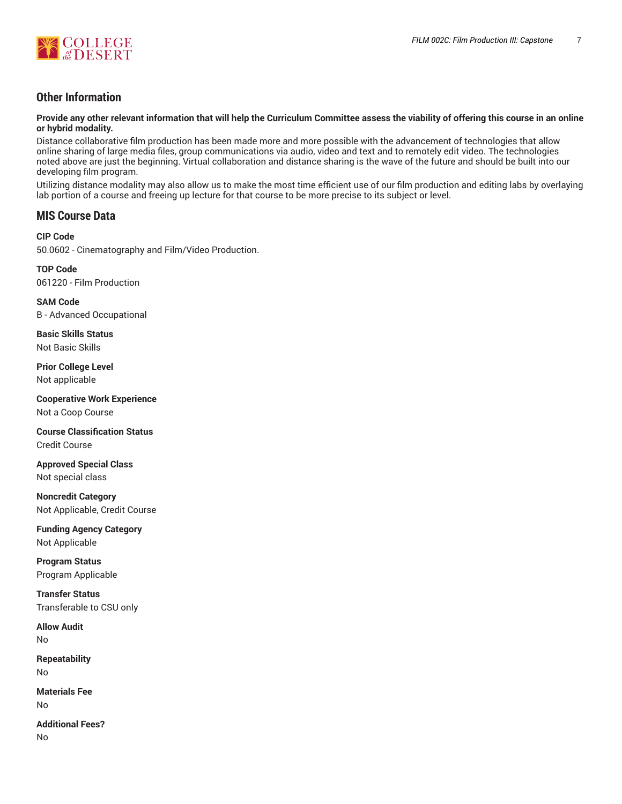

# **Other Information**

Provide any other relevant information that will help the Curriculum Committee assess the viability of offering this course in an online **or hybrid modality.**

Distance collaborative film production has been made more and more possible with the advancement of technologies that allow online sharing of large media files, group communications via audio, video and text and to remotely edit video. The technologies noted above are just the beginning. Virtual collaboration and distance sharing is the wave of the future and should be built into our developing film program.

Utilizing distance modality may also allow us to make the most time efficient use of our film production and editing labs by overlaying lab portion of a course and freeing up lecture for that course to be more precise to its subject or level.

## **MIS Course Data**

## **CIP Code**

50.0602 - Cinematography and Film/Video Production.

**TOP Code** 061220 - Film Production

**SAM Code** B - Advanced Occupational

**Basic Skills Status** Not Basic Skills

**Prior College Level** Not applicable

**Cooperative Work Experience** Not a Coop Course

**Course Classification Status** Credit Course

**Approved Special Class** Not special class

**Noncredit Category** Not Applicable, Credit Course

**Funding Agency Category** Not Applicable

**Program Status** Program Applicable

**Transfer Status** Transferable to CSU only

**Allow Audit** No

**Repeatability** No

**Materials Fee** No

**Additional Fees?** No